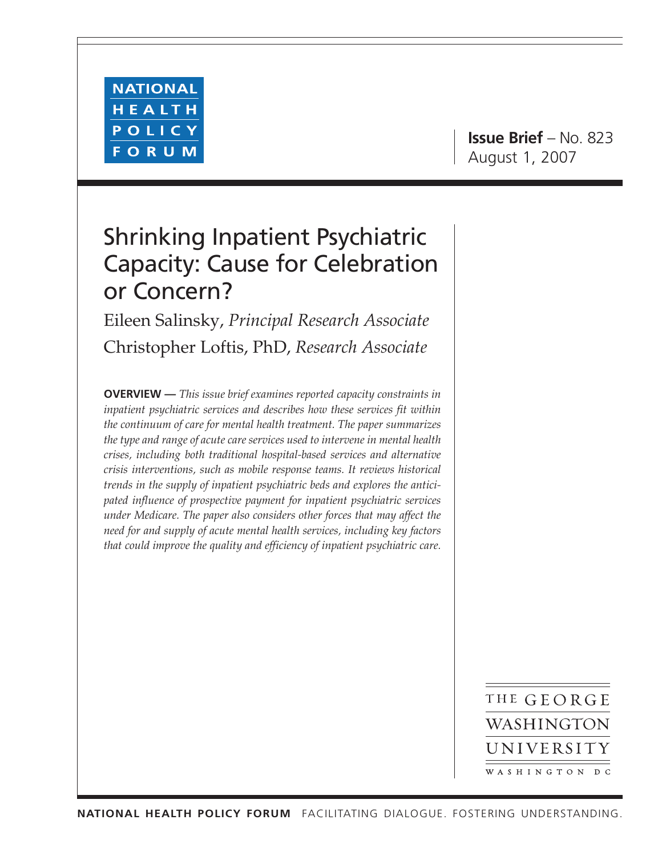

**Issue Brief** – No. 823 August 1, 2007

# Shrinking Inpatient Psychiatric Capacity: Cause for Celebration or Concern?

Eileen Salinsky, *Principal Research Associate* Christopher Loftis, PhD, *Research Associate*

**OVERVIEW —** *This issue brief examines reported capacity constraints in inpatient psychiatric services and describes how these services fit within the continuum of care for mental health treatment. The paper summarizes the type and range of acute care services used to intervene in mental health crises, including both traditional hospital-based services and alternative crisis interventions, such as mobile response teams. It reviews historical trends in the supply of inpatient psychiatric beds and explores the anticipated influence of prospective payment for inpatient psychiatric services under Medicare. The paper also considers other forces that may affect the need for and supply of acute mental health services, including key factors that could improve the quality and efficiency of inpatient psychiatric care.*

> THE GEORGE WASHINGTON UNIVERSITY WASHINGTON DC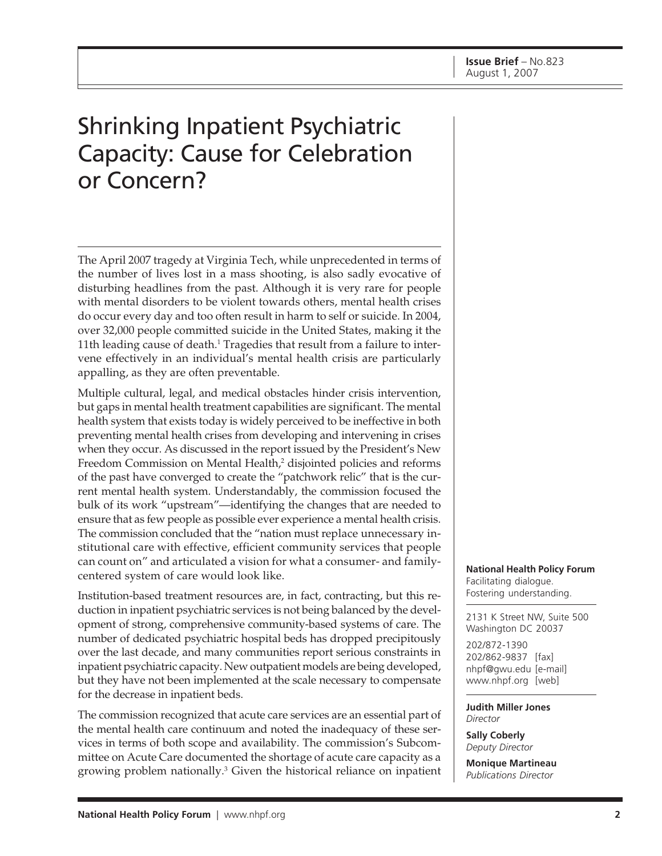# Shrinking Inpatient Psychiatric Capacity: Cause for Celebration or Concern?

The April 2007 tragedy at Virginia Tech, while unprecedented in terms of the number of lives lost in a mass shooting, is also sadly evocative of disturbing headlines from the past. Although it is very rare for people with mental disorders to be violent towards others, mental health crises do occur every day and too often result in harm to self or suicide. In 2004, over 32,000 people committed suicide in the United States, making it the 11th leading cause of death. $^1$  Tragedies that result from a failure to intervene effectively in an individual's mental health crisis are particularly appalling, as they are often preventable.

Multiple cultural, legal, and medical obstacles hinder crisis intervention, but gaps in mental health treatment capabilities are significant. The mental health system that exists today is widely perceived to be ineffective in both preventing mental health crises from developing and intervening in crises when they occur. As discussed in the report issued by the President's New Freedom Commission on Mental Health,<sup>2</sup> disjointed policies and reforms of the past have converged to create the "patchwork relic" that is the current mental health system. Understandably, the commission focused the bulk of its work "upstream"—identifying the changes that are needed to ensure that as few people as possible ever experience a mental health crisis. The commission concluded that the "nation must replace unnecessary institutional care with effective, efficient community services that people can count on" and articulated a vision for what a consumer- and familycentered system of care would look like.

Institution-based treatment resources are, in fact, contracting, but this reduction in inpatient psychiatric services is not being balanced by the development of strong, comprehensive community-based systems of care. The number of dedicated psychiatric hospital beds has dropped precipitously over the last decade, and many communities report serious constraints in inpatient psychiatric capacity. New outpatient models are being developed, but they have not been implemented at the scale necessary to compensate for the decrease in inpatient beds.

The commission recognized that acute care services are an essential part of the mental health care continuum and noted the inadequacy of these services in terms of both scope and availability. The commission's Subcommittee on Acute Care documented the shortage of acute care capacity as a growing problem nationally.3 Given the historical reliance on inpatient

**National Health Policy Forum** Facilitating dialogue. Fostering understanding.

2131 K Street NW, Suite 500 Washington DC 20037

202/872-1390 202/862-9837 [fax] nhpf@gwu.edu [e-mail] www.nhpf.org [web]

**Judith Miller Jones** *Director*

**Sally Coberly** *Deputy Director*

**Monique Martineau** *Publications Director*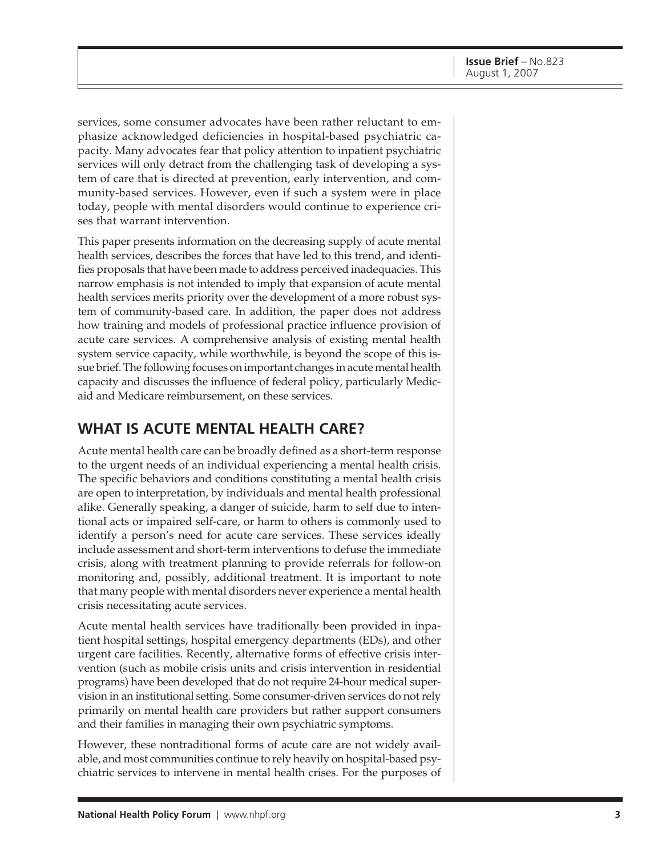services, some consumer advocates have been rather reluctant to emphasize acknowledged deficiencies in hospital-based psychiatric capacity. Many advocates fear that policy attention to inpatient psychiatric services will only detract from the challenging task of developing a system of care that is directed at prevention, early intervention, and community-based services. However, even if such a system were in place today, people with mental disorders would continue to experience crises that warrant intervention.

This paper presents information on the decreasing supply of acute mental health services, describes the forces that have led to this trend, and identifies proposals that have been made to address perceived inadequacies. This narrow emphasis is not intended to imply that expansion of acute mental health services merits priority over the development of a more robust system of community-based care. In addition, the paper does not address how training and models of professional practice influence provision of acute care services. A comprehensive analysis of existing mental health system service capacity, while worthwhile, is beyond the scope of this issue brief. The following focuses on important changes in acute mental health capacity and discusses the influence of federal policy, particularly Medicaid and Medicare reimbursement, on these services.

## **WHAT IS ACUTE MENTAL HEALTH CARE?**

Acute mental health care can be broadly defined as a short-term response to the urgent needs of an individual experiencing a mental health crisis. The specific behaviors and conditions constituting a mental health crisis are open to interpretation, by individuals and mental health professional alike. Generally speaking, a danger of suicide, harm to self due to intentional acts or impaired self-care, or harm to others is commonly used to identify a person's need for acute care services. These services ideally include assessment and short-term interventions to defuse the immediate crisis, along with treatment planning to provide referrals for follow-on monitoring and, possibly, additional treatment. It is important to note that many people with mental disorders never experience a mental health crisis necessitating acute services.

Acute mental health services have traditionally been provided in inpatient hospital settings, hospital emergency departments (EDs), and other urgent care facilities. Recently, alternative forms of effective crisis intervention (such as mobile crisis units and crisis intervention in residential programs) have been developed that do not require 24-hour medical supervision in an institutional setting. Some consumer-driven services do not rely primarily on mental health care providers but rather support consumers and their families in managing their own psychiatric symptoms.

However, these nontraditional forms of acute care are not widely available, and most communities continue to rely heavily on hospital-based psychiatric services to intervene in mental health crises. For the purposes of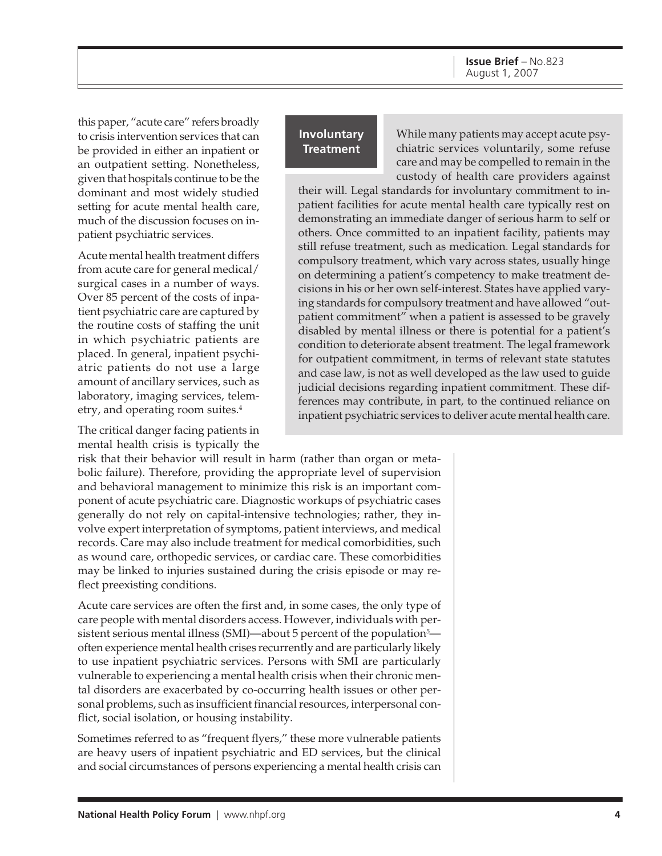this paper, "acute care" refers broadly to crisis intervention services that can be provided in either an inpatient or an outpatient setting. Nonetheless, given that hospitals continue to be the dominant and most widely studied setting for acute mental health care, much of the discussion focuses on inpatient psychiatric services.

Acute mental health treatment differs from acute care for general medical/ surgical cases in a number of ways. Over 85 percent of the costs of inpatient psychiatric care are captured by the routine costs of staffing the unit in which psychiatric patients are placed. In general, inpatient psychiatric patients do not use a large amount of ancillary services, such as laboratory, imaging services, telemetry, and operating room suites.4

The critical danger facing patients in mental health crisis is typically the

risk that their behavior will result in harm (rather than organ or metabolic failure). Therefore, providing the appropriate level of supervision and behavioral management to minimize this risk is an important component of acute psychiatric care. Diagnostic workups of psychiatric cases generally do not rely on capital-intensive technologies; rather, they involve expert interpretation of symptoms, patient interviews, and medical records. Care may also include treatment for medical comorbidities, such as wound care, orthopedic services, or cardiac care. These comorbidities may be linked to injuries sustained during the crisis episode or may reflect preexisting conditions.

Acute care services are often the first and, in some cases, the only type of care people with mental disorders access. However, individuals with persistent serious mental illness (SMI)—about 5 percent of the population<sup>5</sup> often experience mental health crises recurrently and are particularly likely to use inpatient psychiatric services. Persons with SMI are particularly vulnerable to experiencing a mental health crisis when their chronic mental disorders are exacerbated by co-occurring health issues or other personal problems, such as insufficient financial resources, interpersonal conflict, social isolation, or housing instability.

Sometimes referred to as "frequent flyers," these more vulnerable patients are heavy users of inpatient psychiatric and ED services, but the clinical and social circumstances of persons experiencing a mental health crisis can

#### **Involuntary Treatment**

While many patients may accept acute psychiatric services voluntarily, some refuse care and may be compelled to remain in the custody of health care providers against

their will. Legal standards for involuntary commitment to inpatient facilities for acute mental health care typically rest on demonstrating an immediate danger of serious harm to self or others. Once committed to an inpatient facility, patients may still refuse treatment, such as medication. Legal standards for compulsory treatment, which vary across states, usually hinge on determining a patient's competency to make treatment decisions in his or her own self-interest. States have applied varying standards for compulsory treatment and have allowed "outpatient commitment" when a patient is assessed to be gravely disabled by mental illness or there is potential for a patient's condition to deteriorate absent treatment. The legal framework for outpatient commitment, in terms of relevant state statutes and case law, is not as well developed as the law used to guide judicial decisions regarding inpatient commitment. These differences may contribute, in part, to the continued reliance on inpatient psychiatric services to deliver acute mental health care.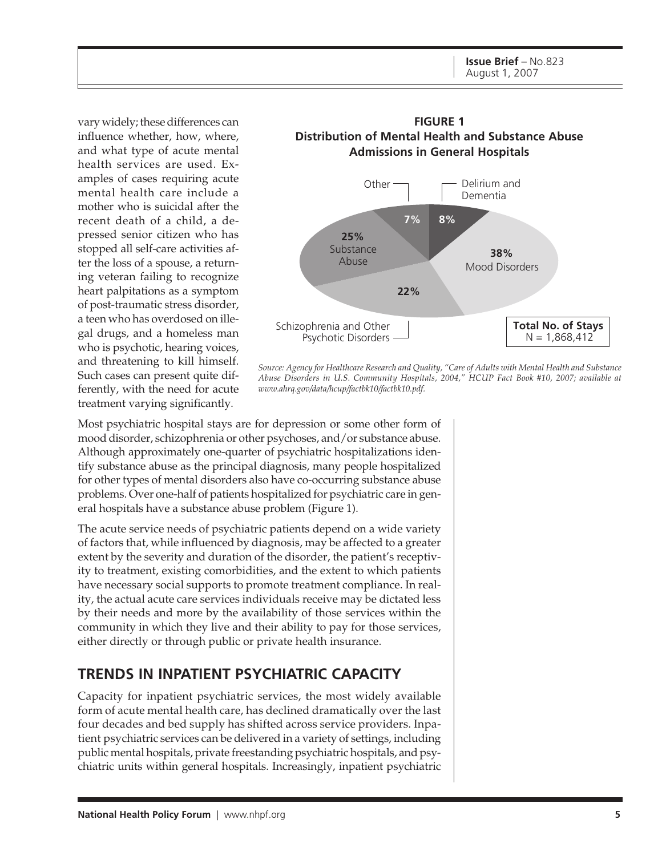**Issue Brief** – No.823 August 1, 2007

vary widely; these differences can influence whether, how, where, and what type of acute mental health services are used. Examples of cases requiring acute mental health care include a mother who is suicidal after the recent death of a child, a depressed senior citizen who has stopped all self-care activities after the loss of a spouse, a returning veteran failing to recognize heart palpitations as a symptom of post-traumatic stress disorder, a teen who has overdosed on illegal drugs, and a homeless man who is psychotic, hearing voices, and threatening to kill himself. Such cases can present quite differently, with the need for acute treatment varying significantly.



*Source: Agency for Healthcare Research and Quality, "Care of Adults with Mental Health and Substance Abuse Disorders in U.S. Community Hospitals, 2004," HCUP Fact Book #10, 2007; available at www.ahrq.gov/data/hcup/factbk10/factbk10.pdf.*

Most psychiatric hospital stays are for depression or some other form of mood disorder, schizophrenia or other psychoses, and/or substance abuse. Although approximately one-quarter of psychiatric hospitalizations identify substance abuse as the principal diagnosis, many people hospitalized for other types of mental disorders also have co-occurring substance abuse problems. Over one-half of patients hospitalized for psychiatric care in general hospitals have a substance abuse problem (Figure 1).

The acute service needs of psychiatric patients depend on a wide variety of factors that, while influenced by diagnosis, may be affected to a greater extent by the severity and duration of the disorder, the patient's receptivity to treatment, existing comorbidities, and the extent to which patients have necessary social supports to promote treatment compliance. In reality, the actual acute care services individuals receive may be dictated less by their needs and more by the availability of those services within the community in which they live and their ability to pay for those services, either directly or through public or private health insurance.

### **TRENDS IN INPATIENT PSYCHIATRIC CAPACITY**

Capacity for inpatient psychiatric services, the most widely available form of acute mental health care, has declined dramatically over the last four decades and bed supply has shifted across service providers. Inpatient psychiatric services can be delivered in a variety of settings, including public mental hospitals, private freestanding psychiatric hospitals, and psychiatric units within general hospitals. Increasingly, inpatient psychiatric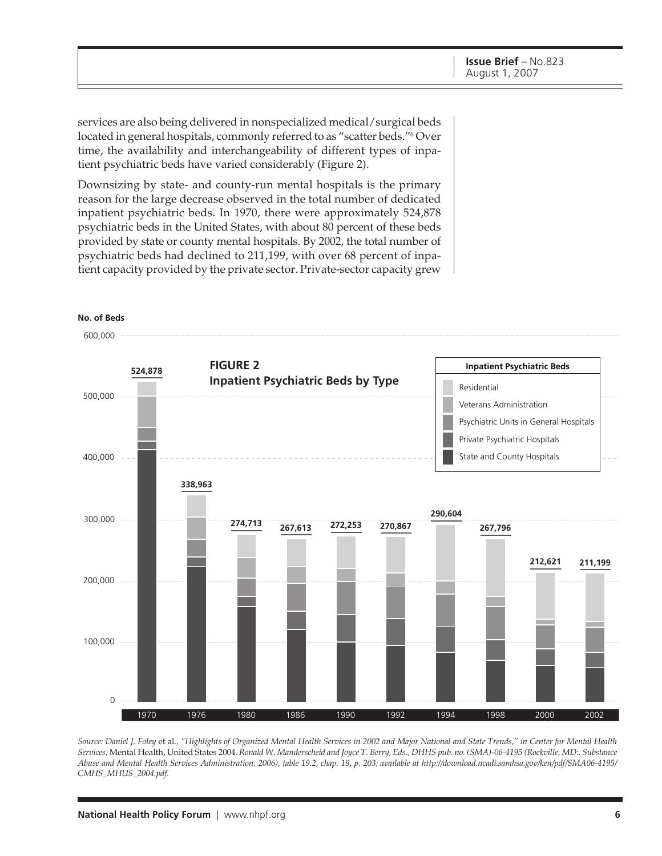services are also being delivered in nonspecialized medical/surgical beds located in general hospitals, commonly referred to as "scatter beds."6 Over time, the availability and interchangeability of different types of inpatient psychiatric beds have varied considerably (Figure 2).

Downsizing by state- and county-run mental hospitals is the primary reason for the large decrease observed in the total number of dedicated inpatient psychiatric beds. In 1970, there were approximately 524,878 psychiatric beds in the United States, with about 80 percent of these beds provided by state or county mental hospitals. By 2002, the total number of psychiatric beds had declined to 211,199, with over 68 percent of inpatient capacity provided by the private sector. Private-sector capacity grew



*Source: Daniel J. Foley* et al.*, "Highlights of Organized Mental Health Services in 2002 and Major National and State Trends," in Center for Mental Health Services,* Mental Health, United States 2004*, Ronald W. Manderscheid and Joyce T. Berry, Eds., DHHS pub. no. (SMA)-06-4195 (Rockville, MD:. Substance Abuse and Mental Health Services Administration, 2006), table 19.2, chap. 19, p. 203; available at http://download.ncadi.samhsa.gov/ken/pdf/SMA06-4195/ CMHS\_MHUS\_2004.pdf.*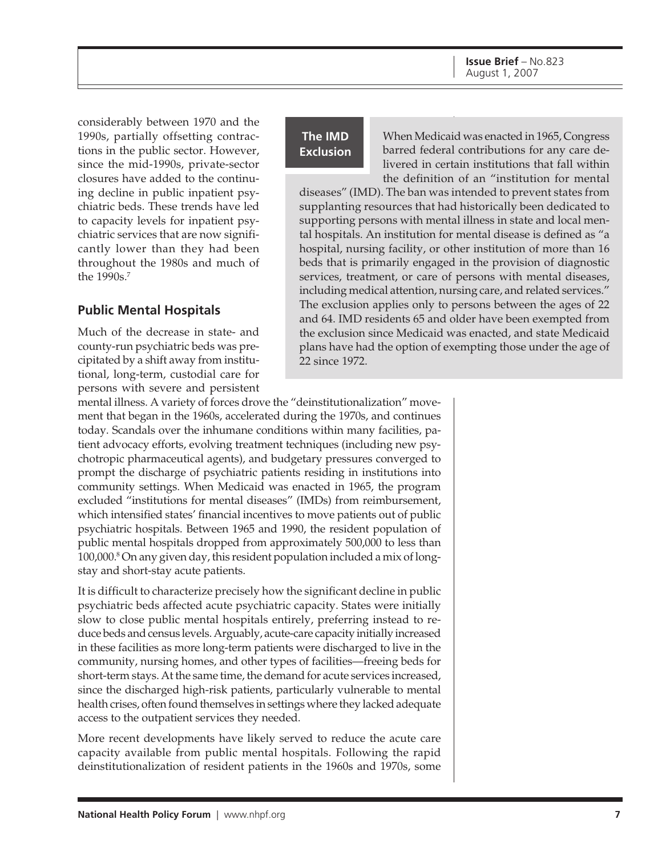considerably between 1970 and the 1990s, partially offsetting contractions in the public sector. However, since the mid-1990s, private-sector closures have added to the continuing decline in public inpatient psychiatric beds. These trends have led to capacity levels for inpatient psychiatric services that are now significantly lower than they had been throughout the 1980s and much of the 1990s.7

#### **Public Mental Hospitals**

Much of the decrease in state- and county-run psychiatric beds was precipitated by a shift away from institutional, long-term, custodial care for persons with severe and persistent

#### **The IMD Exclusion**

When Medicaid was enacted in 1965, Congress barred federal contributions for any care delivered in certain institutions that fall within the definition of an "institution for mental

diseases" (IMD). The ban was intended to prevent states from supplanting resources that had historically been dedicated to supporting persons with mental illness in state and local mental hospitals. An institution for mental disease is defined as "a hospital, nursing facility, or other institution of more than 16 beds that is primarily engaged in the provision of diagnostic services, treatment, or care of persons with mental diseases, including medical attention, nursing care, and related services." The exclusion applies only to persons between the ages of 22 and 64. IMD residents 65 and older have been exempted from the exclusion since Medicaid was enacted, and state Medicaid plans have had the option of exempting those under the age of 22 since 1972.

mental illness. A variety of forces drove the "deinstitutionalization" movement that began in the 1960s, accelerated during the 1970s, and continues today. Scandals over the inhumane conditions within many facilities, patient advocacy efforts, evolving treatment techniques (including new psychotropic pharmaceutical agents), and budgetary pressures converged to prompt the discharge of psychiatric patients residing in institutions into community settings. When Medicaid was enacted in 1965, the program excluded "institutions for mental diseases" (IMDs) from reimbursement, which intensified states' financial incentives to move patients out of public psychiatric hospitals. Between 1965 and 1990, the resident population of public mental hospitals dropped from approximately 500,000 to less than 100,000.8 On any given day, this resident population included a mix of longstay and short-stay acute patients.

It is difficult to characterize precisely how the significant decline in public psychiatric beds affected acute psychiatric capacity. States were initially slow to close public mental hospitals entirely, preferring instead to reduce beds and census levels. Arguably, acute-care capacity initially increased in these facilities as more long-term patients were discharged to live in the community, nursing homes, and other types of facilities—freeing beds for short-term stays. At the same time, the demand for acute services increased, since the discharged high-risk patients, particularly vulnerable to mental health crises, often found themselves in settings where they lacked adequate access to the outpatient services they needed.

More recent developments have likely served to reduce the acute care capacity available from public mental hospitals. Following the rapid deinstitutionalization of resident patients in the 1960s and 1970s, some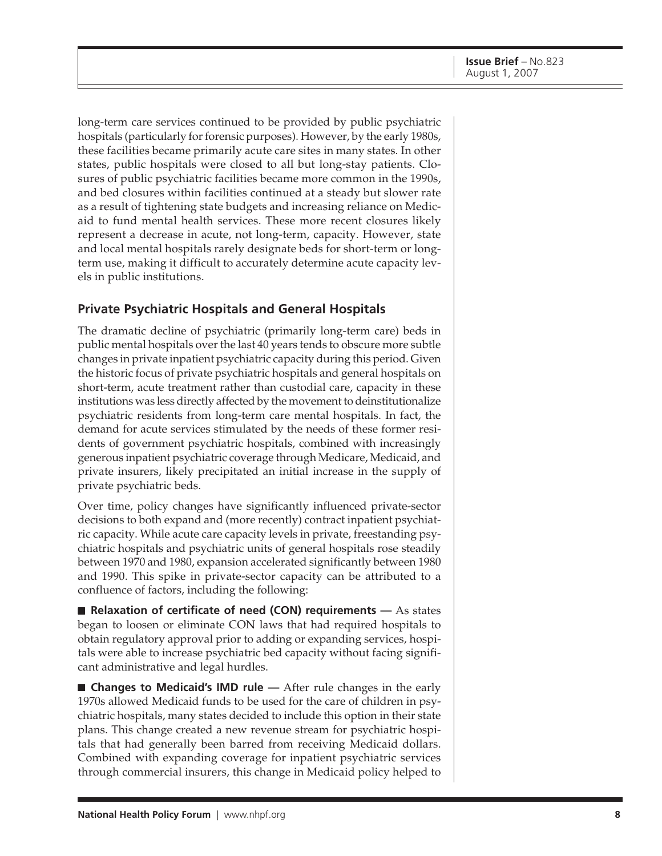long-term care services continued to be provided by public psychiatric hospitals (particularly for forensic purposes). However, by the early 1980s, these facilities became primarily acute care sites in many states. In other states, public hospitals were closed to all but long-stay patients. Closures of public psychiatric facilities became more common in the 1990s, and bed closures within facilities continued at a steady but slower rate as a result of tightening state budgets and increasing reliance on Medicaid to fund mental health services. These more recent closures likely represent a decrease in acute, not long-term, capacity. However, state and local mental hospitals rarely designate beds for short-term or longterm use, making it difficult to accurately determine acute capacity levels in public institutions.

#### **Private Psychiatric Hospitals and General Hospitals**

The dramatic decline of psychiatric (primarily long-term care) beds in public mental hospitals over the last 40 years tends to obscure more subtle changes in private inpatient psychiatric capacity during this period. Given the historic focus of private psychiatric hospitals and general hospitals on short-term, acute treatment rather than custodial care, capacity in these institutions was less directly affected by the movement to deinstitutionalize psychiatric residents from long-term care mental hospitals. In fact, the demand for acute services stimulated by the needs of these former residents of government psychiatric hospitals, combined with increasingly generous inpatient psychiatric coverage through Medicare, Medicaid, and private insurers, likely precipitated an initial increase in the supply of private psychiatric beds.

Over time, policy changes have significantly influenced private-sector decisions to both expand and (more recently) contract inpatient psychiatric capacity. While acute care capacity levels in private, freestanding psychiatric hospitals and psychiatric units of general hospitals rose steadily between 1970 and 1980, expansion accelerated significantly between 1980 and 1990. This spike in private-sector capacity can be attributed to a confluence of factors, including the following:

■ **Relaxation of certificate of need (CON) requirements** — As states began to loosen or eliminate CON laws that had required hospitals to obtain regulatory approval prior to adding or expanding services, hospitals were able to increase psychiatric bed capacity without facing significant administrative and legal hurdles.

■ **Changes to Medicaid's IMD rule** — After rule changes in the early 1970s allowed Medicaid funds to be used for the care of children in psychiatric hospitals, many states decided to include this option in their state plans. This change created a new revenue stream for psychiatric hospitals that had generally been barred from receiving Medicaid dollars. Combined with expanding coverage for inpatient psychiatric services through commercial insurers, this change in Medicaid policy helped to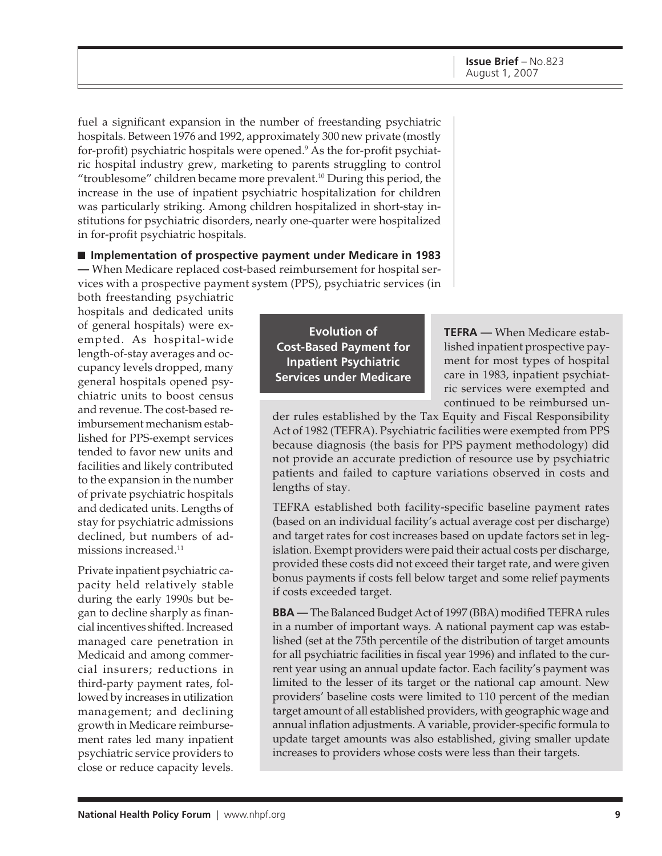fuel a significant expansion in the number of freestanding psychiatric hospitals. Between 1976 and 1992, approximately 300 new private (mostly for-profit) psychiatric hospitals were opened.9 As the for-profit psychiatric hospital industry grew, marketing to parents struggling to control "troublesome" children became more prevalent.<sup>10</sup> During this period, the increase in the use of inpatient psychiatric hospitalization for children was particularly striking. Among children hospitalized in short-stay institutions for psychiatric disorders, nearly one-quarter were hospitalized in for-profit psychiatric hospitals.

■ **Implementation of prospective payment under Medicare in 1983 —** When Medicare replaced cost-based reimbursement for hospital services with a prospective payment system (PPS), psychiatric services (in

both freestanding psychiatric hospitals and dedicated units of general hospitals) were exempted. As hospital-wide length-of-stay averages and occupancy levels dropped, many general hospitals opened psychiatric units to boost census and revenue. The cost-based reimbursement mechanism established for PPS-exempt services tended to favor new units and facilities and likely contributed to the expansion in the number of private psychiatric hospitals and dedicated units. Lengths of stay for psychiatric admissions declined, but numbers of admissions increased.<sup>11</sup>

Private inpatient psychiatric capacity held relatively stable during the early 1990s but began to decline sharply as financial incentives shifted. Increased managed care penetration in Medicaid and among commercial insurers; reductions in third-party payment rates, followed by increases in utilization management; and declining growth in Medicare reimbursement rates led many inpatient psychiatric service providers to close or reduce capacity levels.

**Evolution of Cost-Based Payment for Inpatient Psychiatric Services under Medicare**

**TEFRA —** When Medicare established inpatient prospective payment for most types of hospital care in 1983, inpatient psychiatric services were exempted and continued to be reimbursed un-

der rules established by the Tax Equity and Fiscal Responsibility Act of 1982 (TEFRA). Psychiatric facilities were exempted from PPS because diagnosis (the basis for PPS payment methodology) did not provide an accurate prediction of resource use by psychiatric patients and failed to capture variations observed in costs and lengths of stay.

TEFRA established both facility-specific baseline payment rates (based on an individual facility's actual average cost per discharge) and target rates for cost increases based on update factors set in legislation. Exempt providers were paid their actual costs per discharge, provided these costs did not exceed their target rate, and were given bonus payments if costs fell below target and some relief payments if costs exceeded target.

**BBA —** The Balanced Budget Act of 1997 (BBA) modified TEFRA rules in a number of important ways. A national payment cap was established (set at the 75th percentile of the distribution of target amounts for all psychiatric facilities in fiscal year 1996) and inflated to the current year using an annual update factor. Each facility's payment was limited to the lesser of its target or the national cap amount. New providers' baseline costs were limited to 110 percent of the median target amount of all established providers, with geographic wage and annual inflation adjustments. A variable, provider-specific formula to update target amounts was also established, giving smaller update increases to providers whose costs were less than their targets.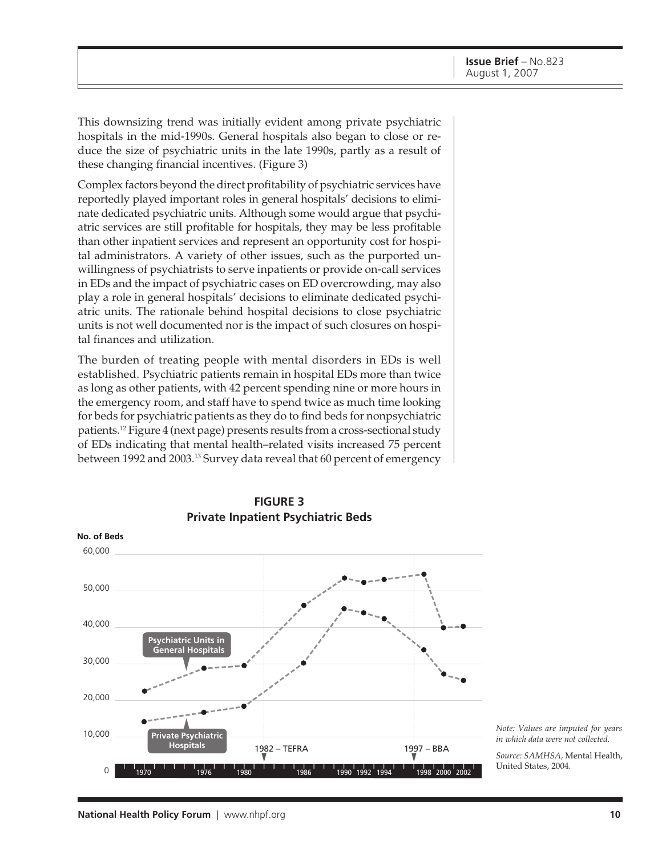This downsizing trend was initially evident among private psychiatric hospitals in the mid-1990s. General hospitals also began to close or reduce the size of psychiatric units in the late 1990s, partly as a result of these changing financial incentives. (Figure 3)

Complex factors beyond the direct profitability of psychiatric services have reportedly played important roles in general hospitals' decisions to eliminate dedicated psychiatric units. Although some would argue that psychiatric services are still profitable for hospitals, they may be less profitable than other inpatient services and represent an opportunity cost for hospital administrators. A variety of other issues, such as the purported unwillingness of psychiatrists to serve inpatients or provide on-call services in EDs and the impact of psychiatric cases on ED overcrowding, may also play a role in general hospitals' decisions to eliminate dedicated psychiatric units. The rationale behind hospital decisions to close psychiatric units is not well documented nor is the impact of such closures on hospital finances and utilization.

The burden of treating people with mental disorders in EDs is well established. Psychiatric patients remain in hospital EDs more than twice as long as other patients, with 42 percent spending nine or more hours in the emergency room, and staff have to spend twice as much time looking for beds for psychiatric patients as they do to find beds for nonpsychiatric patients.12 Figure 4 (next page) presents results from a cross-sectional study of EDs indicating that mental health–related visits increased 75 percent between 1992 and 2003.13 Survey data reveal that 60 percent of emergency



**FIGURE 3**

*Note: Values are imputed for years in which data were not collected.*

*Source: SAMHSA,* Mental Health, United States, 2004.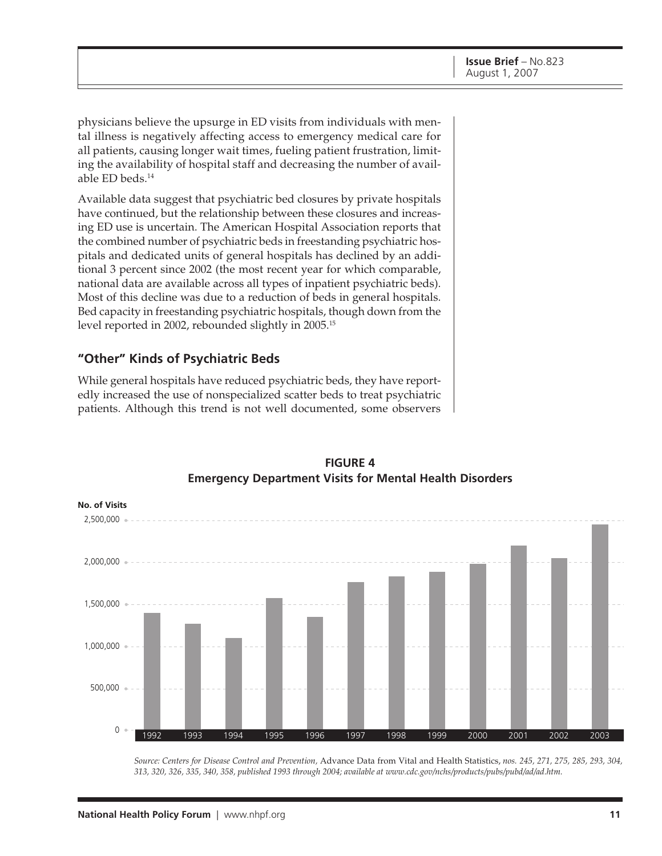physicians believe the upsurge in ED visits from individuals with mental illness is negatively affecting access to emergency medical care for all patients, causing longer wait times, fueling patient frustration, limiting the availability of hospital staff and decreasing the number of available ED beds.<sup>14</sup>

Available data suggest that psychiatric bed closures by private hospitals have continued, but the relationship between these closures and increasing ED use is uncertain. The American Hospital Association reports that the combined number of psychiatric beds in freestanding psychiatric hospitals and dedicated units of general hospitals has declined by an additional 3 percent since 2002 (the most recent year for which comparable, national data are available across all types of inpatient psychiatric beds). Most of this decline was due to a reduction of beds in general hospitals. Bed capacity in freestanding psychiatric hospitals, though down from the level reported in 2002, rebounded slightly in 2005.15

#### **"Other" Kinds of Psychiatric Beds**

While general hospitals have reduced psychiatric beds, they have reportedly increased the use of nonspecialized scatter beds to treat psychiatric patients. Although this trend is not well documented, some observers



#### **FIGURE 4 Emergency Department Visits for Mental Health Disorders**

*Source: Centers for Disease Control and Prevention,* Advance Data from Vital and Health Statistics, *nos. 245, 271, 275, 285, 293, 304, 313, 320, 326, 335, 340, 358, published 1993 through 2004; available at www.cdc.gov/nchs/products/pubs/pubd/ad/ad.htm.*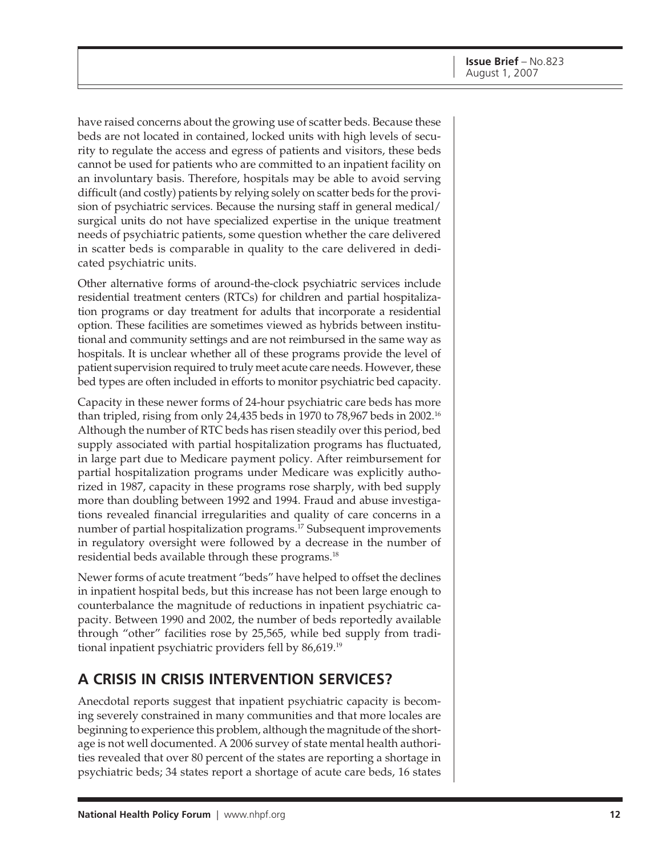have raised concerns about the growing use of scatter beds. Because these beds are not located in contained, locked units with high levels of security to regulate the access and egress of patients and visitors, these beds cannot be used for patients who are committed to an inpatient facility on an involuntary basis. Therefore, hospitals may be able to avoid serving difficult (and costly) patients by relying solely on scatter beds for the provision of psychiatric services. Because the nursing staff in general medical/ surgical units do not have specialized expertise in the unique treatment needs of psychiatric patients, some question whether the care delivered in scatter beds is comparable in quality to the care delivered in dedicated psychiatric units.

Other alternative forms of around-the-clock psychiatric services include residential treatment centers (RTCs) for children and partial hospitalization programs or day treatment for adults that incorporate a residential option. These facilities are sometimes viewed as hybrids between institutional and community settings and are not reimbursed in the same way as hospitals. It is unclear whether all of these programs provide the level of patient supervision required to truly meet acute care needs. However, these bed types are often included in efforts to monitor psychiatric bed capacity.

Capacity in these newer forms of 24-hour psychiatric care beds has more than tripled, rising from only 24,435 beds in 1970 to 78,967 beds in 2002.16 Although the number of RTC beds has risen steadily over this period, bed supply associated with partial hospitalization programs has fluctuated, in large part due to Medicare payment policy. After reimbursement for partial hospitalization programs under Medicare was explicitly authorized in 1987, capacity in these programs rose sharply, with bed supply more than doubling between 1992 and 1994. Fraud and abuse investigations revealed financial irregularities and quality of care concerns in a number of partial hospitalization programs.<sup>17</sup> Subsequent improvements in regulatory oversight were followed by a decrease in the number of residential beds available through these programs. $^{18}$ 

Newer forms of acute treatment "beds" have helped to offset the declines in inpatient hospital beds, but this increase has not been large enough to counterbalance the magnitude of reductions in inpatient psychiatric capacity. Between 1990 and 2002, the number of beds reportedly available through "other" facilities rose by 25,565, while bed supply from traditional inpatient psychiatric providers fell by 86,619.19

## **A CRISIS IN CRISIS INTERVENTION SERVICES?**

Anecdotal reports suggest that inpatient psychiatric capacity is becoming severely constrained in many communities and that more locales are beginning to experience this problem, although the magnitude of the shortage is not well documented. A 2006 survey of state mental health authorities revealed that over 80 percent of the states are reporting a shortage in psychiatric beds; 34 states report a shortage of acute care beds, 16 states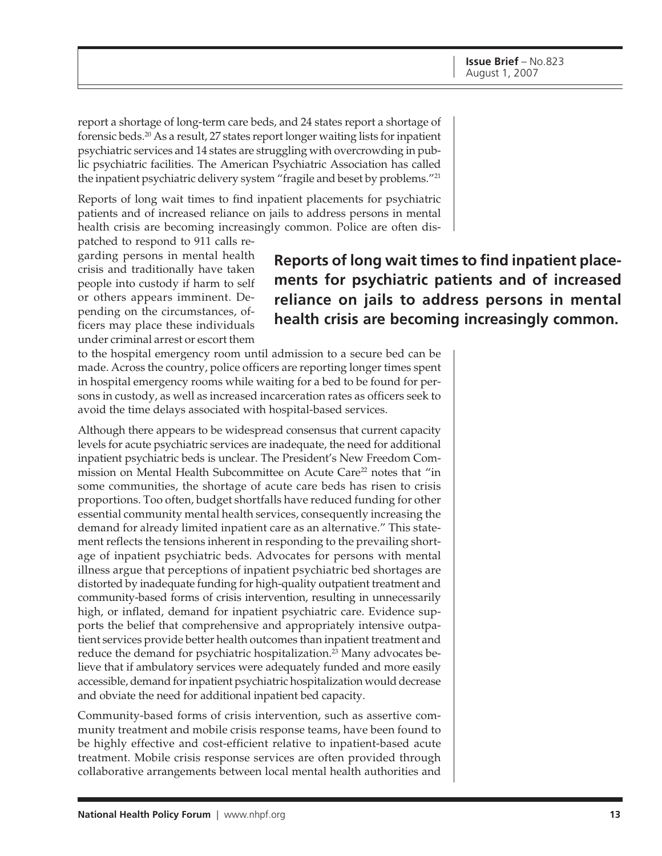report a shortage of long-term care beds, and 24 states report a shortage of forensic beds.20 As a result, 27 states report longer waiting lists for inpatient psychiatric services and 14 states are struggling with overcrowding in public psychiatric facilities. The American Psychiatric Association has called the inpatient psychiatric delivery system "fragile and beset by problems."21

Reports of long wait times to find inpatient placements for psychiatric patients and of increased reliance on jails to address persons in mental health crisis are becoming increasingly common. Police are often dispatched to respond to 911 calls re-

garding persons in mental health crisis and traditionally have taken people into custody if harm to self or others appears imminent. Depending on the circumstances, officers may place these individuals under criminal arrest or escort them

# **Reports of long wait times to find inpatient placements for psychiatric patients and of increased reliance on jails to address persons in mental health crisis are becoming increasingly common.**

to the hospital emergency room until admission to a secure bed can be made. Across the country, police officers are reporting longer times spent in hospital emergency rooms while waiting for a bed to be found for persons in custody, as well as increased incarceration rates as officers seek to avoid the time delays associated with hospital-based services.

Although there appears to be widespread consensus that current capacity levels for acute psychiatric services are inadequate, the need for additional inpatient psychiatric beds is unclear. The President's New Freedom Commission on Mental Health Subcommittee on Acute Care<sup>22</sup> notes that "in some communities, the shortage of acute care beds has risen to crisis proportions. Too often, budget shortfalls have reduced funding for other essential community mental health services, consequently increasing the demand for already limited inpatient care as an alternative." This statement reflects the tensions inherent in responding to the prevailing shortage of inpatient psychiatric beds. Advocates for persons with mental illness argue that perceptions of inpatient psychiatric bed shortages are distorted by inadequate funding for high-quality outpatient treatment and community-based forms of crisis intervention, resulting in unnecessarily high, or inflated, demand for inpatient psychiatric care. Evidence supports the belief that comprehensive and appropriately intensive outpatient services provide better health outcomes than inpatient treatment and reduce the demand for psychiatric hospitalization.<sup>23</sup> Many advocates believe that if ambulatory services were adequately funded and more easily accessible, demand for inpatient psychiatric hospitalization would decrease and obviate the need for additional inpatient bed capacity.

Community-based forms of crisis intervention, such as assertive community treatment and mobile crisis response teams, have been found to be highly effective and cost-efficient relative to inpatient-based acute treatment. Mobile crisis response services are often provided through collaborative arrangements between local mental health authorities and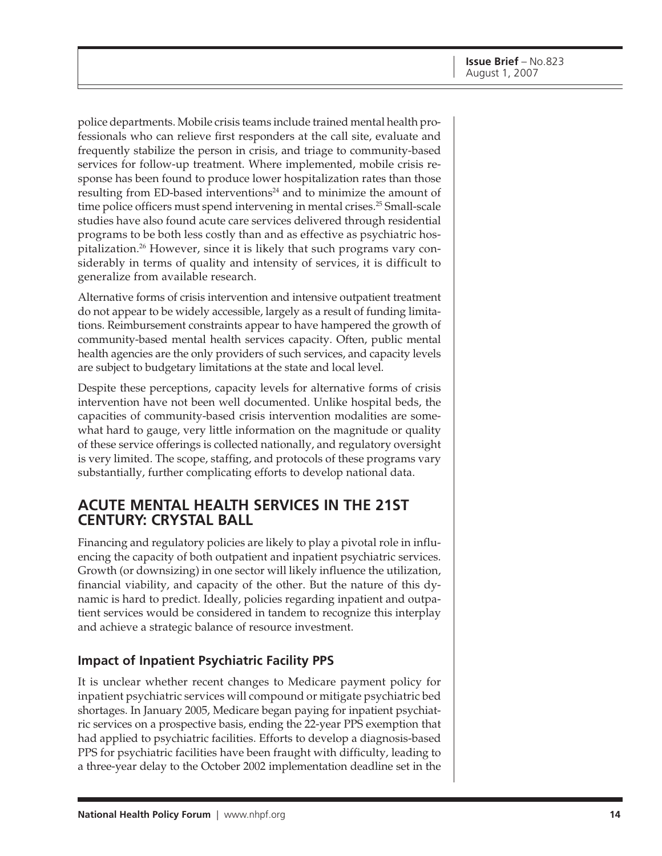police departments. Mobile crisis teams include trained mental health professionals who can relieve first responders at the call site, evaluate and frequently stabilize the person in crisis, and triage to community-based services for follow-up treatment. Where implemented, mobile crisis response has been found to produce lower hospitalization rates than those resulting from ED-based interventions<sup>24</sup> and to minimize the amount of time police officers must spend intervening in mental crises.<sup>25</sup> Small-scale studies have also found acute care services delivered through residential programs to be both less costly than and as effective as psychiatric hospitalization.26 However, since it is likely that such programs vary considerably in terms of quality and intensity of services, it is difficult to generalize from available research.

Alternative forms of crisis intervention and intensive outpatient treatment do not appear to be widely accessible, largely as a result of funding limitations. Reimbursement constraints appear to have hampered the growth of community-based mental health services capacity. Often, public mental health agencies are the only providers of such services, and capacity levels are subject to budgetary limitations at the state and local level.

Despite these perceptions, capacity levels for alternative forms of crisis intervention have not been well documented. Unlike hospital beds, the capacities of community-based crisis intervention modalities are somewhat hard to gauge, very little information on the magnitude or quality of these service offerings is collected nationally, and regulatory oversight is very limited. The scope, staffing, and protocols of these programs vary substantially, further complicating efforts to develop national data.

#### **ACUTE MENTAL HEALTH SERVICES IN THE 21ST CENTURY: CRYSTAL BALL**

Financing and regulatory policies are likely to play a pivotal role in influencing the capacity of both outpatient and inpatient psychiatric services. Growth (or downsizing) in one sector will likely influence the utilization, financial viability, and capacity of the other. But the nature of this dynamic is hard to predict. Ideally, policies regarding inpatient and outpatient services would be considered in tandem to recognize this interplay and achieve a strategic balance of resource investment.

#### **Impact of Inpatient Psychiatric Facility PPS**

It is unclear whether recent changes to Medicare payment policy for inpatient psychiatric services will compound or mitigate psychiatric bed shortages. In January 2005, Medicare began paying for inpatient psychiatric services on a prospective basis, ending the 22-year PPS exemption that had applied to psychiatric facilities. Efforts to develop a diagnosis-based PPS for psychiatric facilities have been fraught with difficulty, leading to a three-year delay to the October 2002 implementation deadline set in the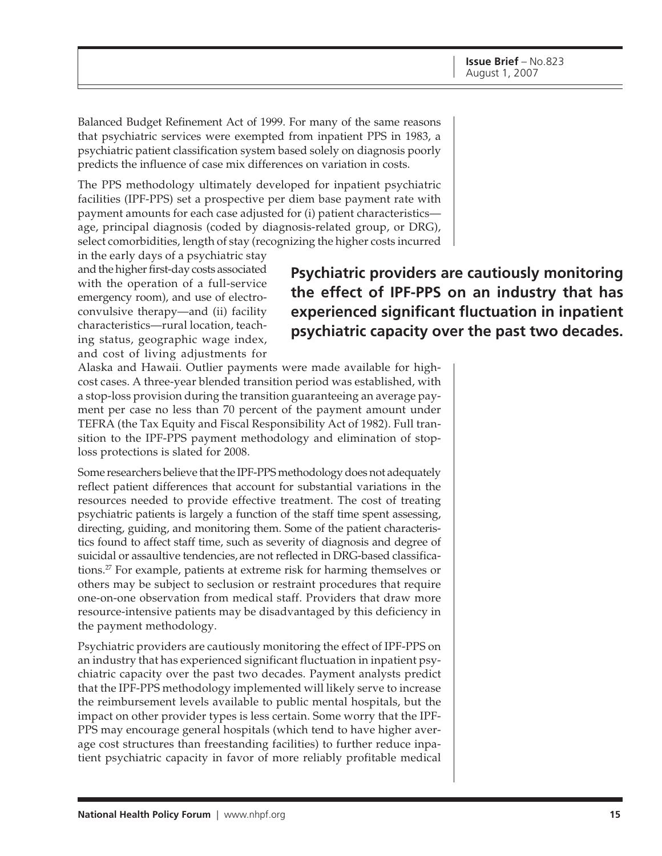Balanced Budget Refinement Act of 1999. For many of the same reasons that psychiatric services were exempted from inpatient PPS in 1983, a psychiatric patient classification system based solely on diagnosis poorly predicts the influence of case mix differences on variation in costs.

The PPS methodology ultimately developed for inpatient psychiatric facilities (IPF-PPS) set a prospective per diem base payment rate with payment amounts for each case adjusted for (i) patient characteristics age, principal diagnosis (coded by diagnosis-related group, or DRG), select comorbidities, length of stay (recognizing the higher costs incurred

in the early days of a psychiatric stay and the higher first-day costs associated with the operation of a full-service emergency room), and use of electroconvulsive therapy—and (ii) facility characteristics—rural location, teaching status, geographic wage index, and cost of living adjustments for

# **Psychiatric providers are cautiously monitoring the effect of IPF-PPS on an industry that has experienced significant fluctuation in inpatient psychiatric capacity over the past two decades.**

Alaska and Hawaii. Outlier payments were made available for highcost cases. A three-year blended transition period was established, with a stop-loss provision during the transition guaranteeing an average payment per case no less than 70 percent of the payment amount under TEFRA (the Tax Equity and Fiscal Responsibility Act of 1982). Full transition to the IPF-PPS payment methodology and elimination of stoploss protections is slated for 2008.

Some researchers believe that the IPF-PPS methodology does not adequately reflect patient differences that account for substantial variations in the resources needed to provide effective treatment. The cost of treating psychiatric patients is largely a function of the staff time spent assessing, directing, guiding, and monitoring them. Some of the patient characteristics found to affect staff time, such as severity of diagnosis and degree of suicidal or assaultive tendencies, are not reflected in DRG-based classifications.27 For example, patients at extreme risk for harming themselves or others may be subject to seclusion or restraint procedures that require one-on-one observation from medical staff. Providers that draw more resource-intensive patients may be disadvantaged by this deficiency in the payment methodology.

Psychiatric providers are cautiously monitoring the effect of IPF-PPS on an industry that has experienced significant fluctuation in inpatient psychiatric capacity over the past two decades. Payment analysts predict that the IPF-PPS methodology implemented will likely serve to increase the reimbursement levels available to public mental hospitals, but the impact on other provider types is less certain. Some worry that the IPF-PPS may encourage general hospitals (which tend to have higher average cost structures than freestanding facilities) to further reduce inpatient psychiatric capacity in favor of more reliably profitable medical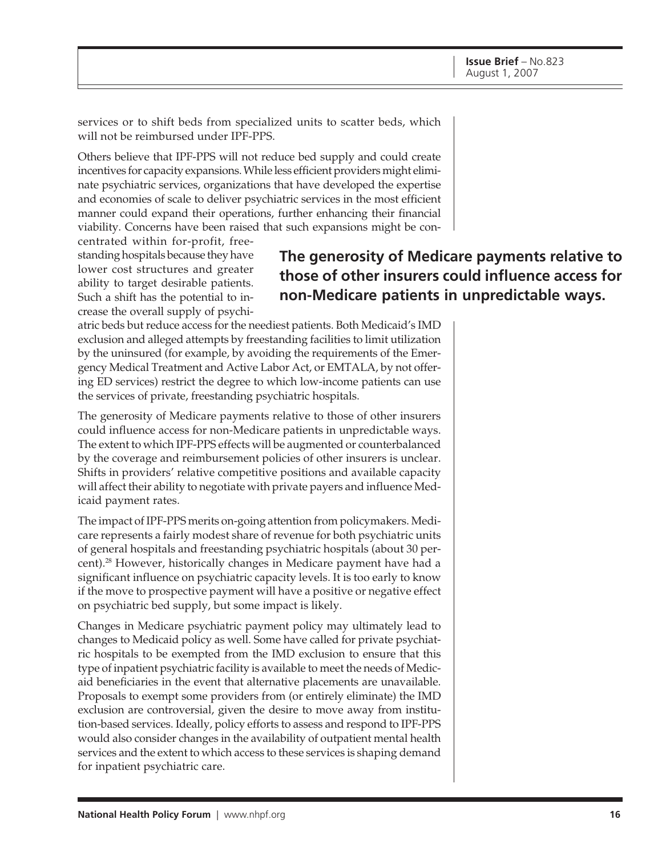services or to shift beds from specialized units to scatter beds, which will not be reimbursed under IPF-PPS.

Others believe that IPF-PPS will not reduce bed supply and could create incentives for capacity expansions. While less efficient providers might eliminate psychiatric services, organizations that have developed the expertise and economies of scale to deliver psychiatric services in the most efficient manner could expand their operations, further enhancing their financial viability. Concerns have been raised that such expansions might be con-

centrated within for-profit, freestanding hospitals because they have lower cost structures and greater ability to target desirable patients. Such a shift has the potential to increase the overall supply of psychi-

# **The generosity of Medicare payments relative to those of other insurers could influence access for non-Medicare patients in unpredictable ways.**

atric beds but reduce access for the neediest patients. Both Medicaid's IMD exclusion and alleged attempts by freestanding facilities to limit utilization by the uninsured (for example, by avoiding the requirements of the Emergency Medical Treatment and Active Labor Act, or EMTALA, by not offering ED services) restrict the degree to which low-income patients can use the services of private, freestanding psychiatric hospitals.

The generosity of Medicare payments relative to those of other insurers could influence access for non-Medicare patients in unpredictable ways. The extent to which IPF-PPS effects will be augmented or counterbalanced by the coverage and reimbursement policies of other insurers is unclear. Shifts in providers' relative competitive positions and available capacity will affect their ability to negotiate with private payers and influence Medicaid payment rates.

The impact of IPF-PPS merits on-going attention from policymakers. Medicare represents a fairly modest share of revenue for both psychiatric units of general hospitals and freestanding psychiatric hospitals (about 30 percent).28 However, historically changes in Medicare payment have had a significant influence on psychiatric capacity levels. It is too early to know if the move to prospective payment will have a positive or negative effect on psychiatric bed supply, but some impact is likely.

Changes in Medicare psychiatric payment policy may ultimately lead to changes to Medicaid policy as well. Some have called for private psychiatric hospitals to be exempted from the IMD exclusion to ensure that this type of inpatient psychiatric facility is available to meet the needs of Medicaid beneficiaries in the event that alternative placements are unavailable. Proposals to exempt some providers from (or entirely eliminate) the IMD exclusion are controversial, given the desire to move away from institution-based services. Ideally, policy efforts to assess and respond to IPF-PPS would also consider changes in the availability of outpatient mental health services and the extent to which access to these services is shaping demand for inpatient psychiatric care.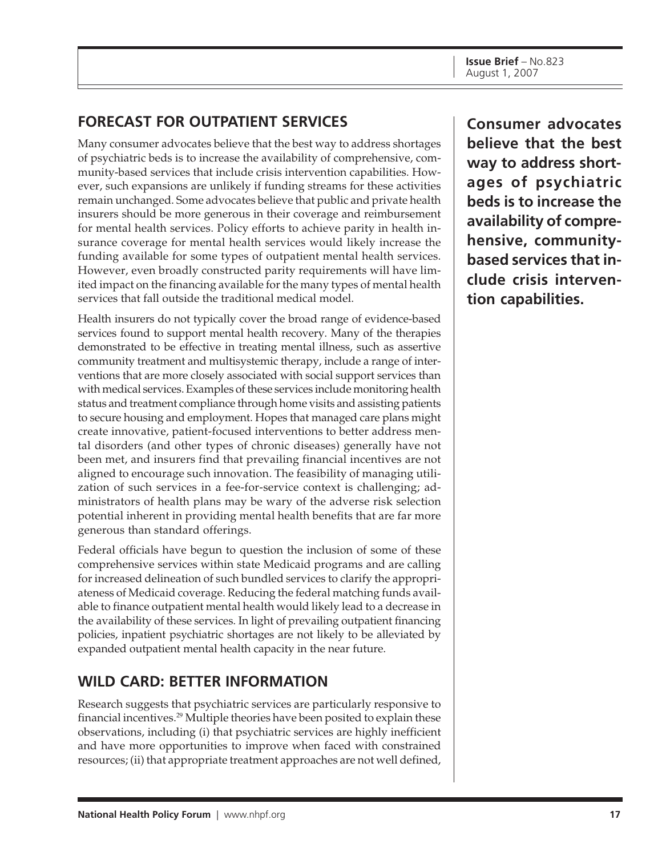# **FORECAST FOR OUTPATIENT SERVICES**

Many consumer advocates believe that the best way to address shortages of psychiatric beds is to increase the availability of comprehensive, community-based services that include crisis intervention capabilities. However, such expansions are unlikely if funding streams for these activities remain unchanged. Some advocates believe that public and private health insurers should be more generous in their coverage and reimbursement for mental health services. Policy efforts to achieve parity in health insurance coverage for mental health services would likely increase the funding available for some types of outpatient mental health services. However, even broadly constructed parity requirements will have limited impact on the financing available for the many types of mental health services that fall outside the traditional medical model.

Health insurers do not typically cover the broad range of evidence-based services found to support mental health recovery. Many of the therapies demonstrated to be effective in treating mental illness, such as assertive community treatment and multisystemic therapy, include a range of interventions that are more closely associated with social support services than with medical services. Examples of these services include monitoring health status and treatment compliance through home visits and assisting patients to secure housing and employment. Hopes that managed care plans might create innovative, patient-focused interventions to better address mental disorders (and other types of chronic diseases) generally have not been met, and insurers find that prevailing financial incentives are not aligned to encourage such innovation. The feasibility of managing utilization of such services in a fee-for-service context is challenging; administrators of health plans may be wary of the adverse risk selection potential inherent in providing mental health benefits that are far more generous than standard offerings.

Federal officials have begun to question the inclusion of some of these comprehensive services within state Medicaid programs and are calling for increased delineation of such bundled services to clarify the appropriateness of Medicaid coverage. Reducing the federal matching funds available to finance outpatient mental health would likely lead to a decrease in the availability of these services. In light of prevailing outpatient financing policies, inpatient psychiatric shortages are not likely to be alleviated by expanded outpatient mental health capacity in the near future.

# **WILD CARD: BETTER INFORMATION**

Research suggests that psychiatric services are particularly responsive to financial incentives.29 Multiple theories have been posited to explain these observations, including (i) that psychiatric services are highly inefficient and have more opportunities to improve when faced with constrained resources; (ii) that appropriate treatment approaches are not well defined,

**Consumer advocates believe that the best way to address shortages of psychiatric beds is to increase the availability of comprehensive, communitybased services that include crisis intervention capabilities.**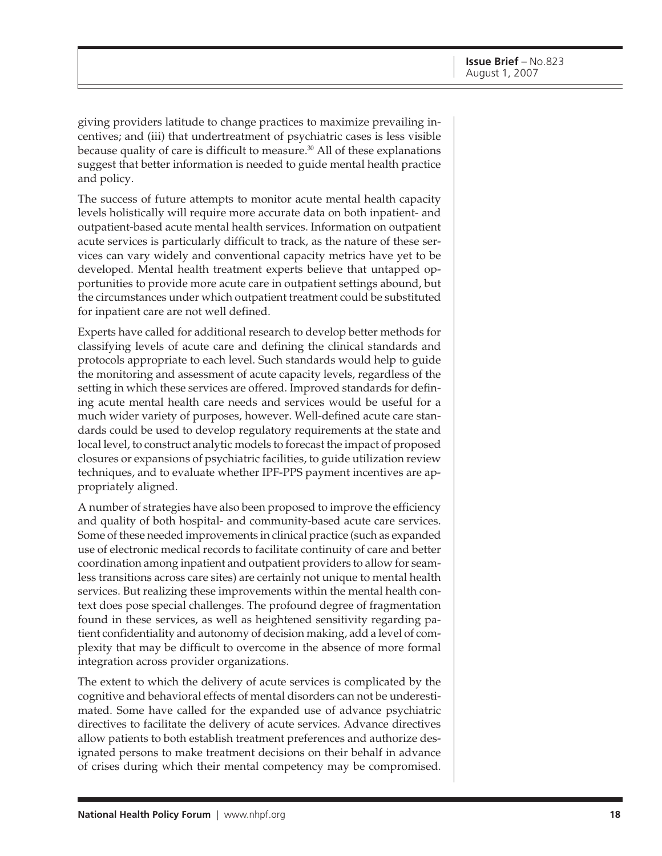giving providers latitude to change practices to maximize prevailing incentives; and (iii) that undertreatment of psychiatric cases is less visible because quality of care is difficult to measure.<sup>30</sup> All of these explanations suggest that better information is needed to guide mental health practice and policy.

The success of future attempts to monitor acute mental health capacity levels holistically will require more accurate data on both inpatient- and outpatient-based acute mental health services. Information on outpatient acute services is particularly difficult to track, as the nature of these services can vary widely and conventional capacity metrics have yet to be developed. Mental health treatment experts believe that untapped opportunities to provide more acute care in outpatient settings abound, but the circumstances under which outpatient treatment could be substituted for inpatient care are not well defined.

Experts have called for additional research to develop better methods for classifying levels of acute care and defining the clinical standards and protocols appropriate to each level. Such standards would help to guide the monitoring and assessment of acute capacity levels, regardless of the setting in which these services are offered. Improved standards for defining acute mental health care needs and services would be useful for a much wider variety of purposes, however. Well-defined acute care standards could be used to develop regulatory requirements at the state and local level, to construct analytic models to forecast the impact of proposed closures or expansions of psychiatric facilities, to guide utilization review techniques, and to evaluate whether IPF-PPS payment incentives are appropriately aligned.

A number of strategies have also been proposed to improve the efficiency and quality of both hospital- and community-based acute care services. Some of these needed improvements in clinical practice (such as expanded use of electronic medical records to facilitate continuity of care and better coordination among inpatient and outpatient providers to allow for seamless transitions across care sites) are certainly not unique to mental health services. But realizing these improvements within the mental health context does pose special challenges. The profound degree of fragmentation found in these services, as well as heightened sensitivity regarding patient confidentiality and autonomy of decision making, add a level of complexity that may be difficult to overcome in the absence of more formal integration across provider organizations.

The extent to which the delivery of acute services is complicated by the cognitive and behavioral effects of mental disorders can not be underestimated. Some have called for the expanded use of advance psychiatric directives to facilitate the delivery of acute services. Advance directives allow patients to both establish treatment preferences and authorize designated persons to make treatment decisions on their behalf in advance of crises during which their mental competency may be compromised.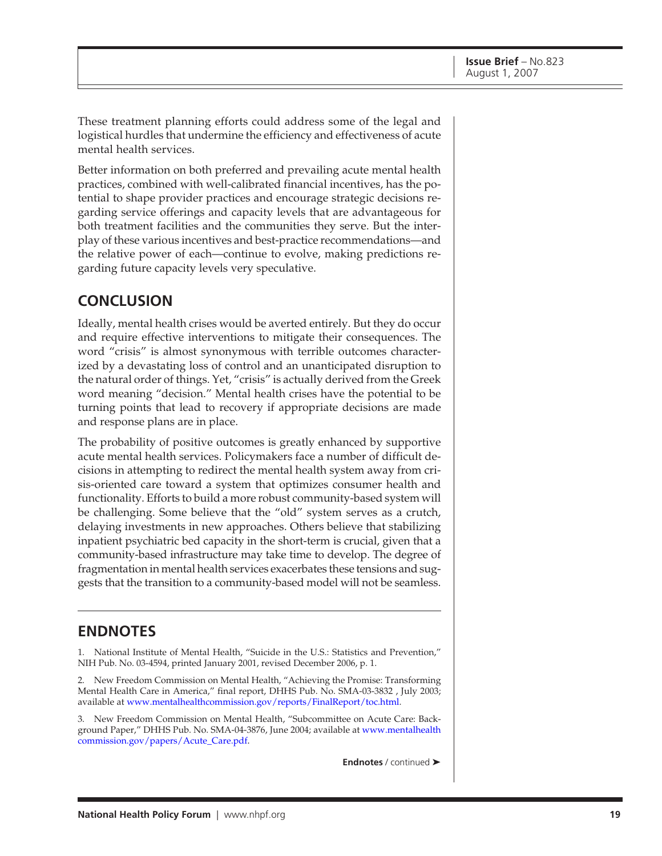These treatment planning efforts could address some of the legal and logistical hurdles that undermine the efficiency and effectiveness of acute mental health services.

Better information on both preferred and prevailing acute mental health practices, combined with well-calibrated financial incentives, has the potential to shape provider practices and encourage strategic decisions regarding service offerings and capacity levels that are advantageous for both treatment facilities and the communities they serve. But the interplay of these various incentives and best-practice recommendations—and the relative power of each—continue to evolve, making predictions regarding future capacity levels very speculative.

### **CONCLUSION**

Ideally, mental health crises would be averted entirely. But they do occur and require effective interventions to mitigate their consequences. The word "crisis" is almost synonymous with terrible outcomes characterized by a devastating loss of control and an unanticipated disruption to the natural order of things. Yet, "crisis" is actually derived from the Greek word meaning "decision." Mental health crises have the potential to be turning points that lead to recovery if appropriate decisions are made and response plans are in place.

The probability of positive outcomes is greatly enhanced by supportive acute mental health services. Policymakers face a number of difficult decisions in attempting to redirect the mental health system away from crisis-oriented care toward a system that optimizes consumer health and functionality. Efforts to build a more robust community-based system will be challenging. Some believe that the "old" system serves as a crutch, delaying investments in new approaches. Others believe that stabilizing inpatient psychiatric bed capacity in the short-term is crucial, given that a community-based infrastructure may take time to develop. The degree of fragmentation in mental health services exacerbates these tensions and suggests that the transition to a community-based model will not be seamless.

### **ENDNOTES**

1. National Institute of Mental Health, "Suicide in the U.S.: Statistics and Prevention," NIH Pub. No. 03-4594, printed January 2001, revised December 2006, p. 1.

2. New Freedom Commission on Mental Health, "Achieving the Promise: Transforming Mental Health Care in America," final report, DHHS Pub. No. SMA-03-3832 , July 2003; available at www.mentalhealthcommission.gov/reports/FinalReport/toc.html.

3. New Freedom Commission on Mental Health, "Subcommittee on Acute Care: Background Paper," DHHS Pub. No. SMA-04-3876, June 2004; available at www.mentalhealth commission.gov/papers/Acute\_Care.pdf.

**Endnotes** / continued ➤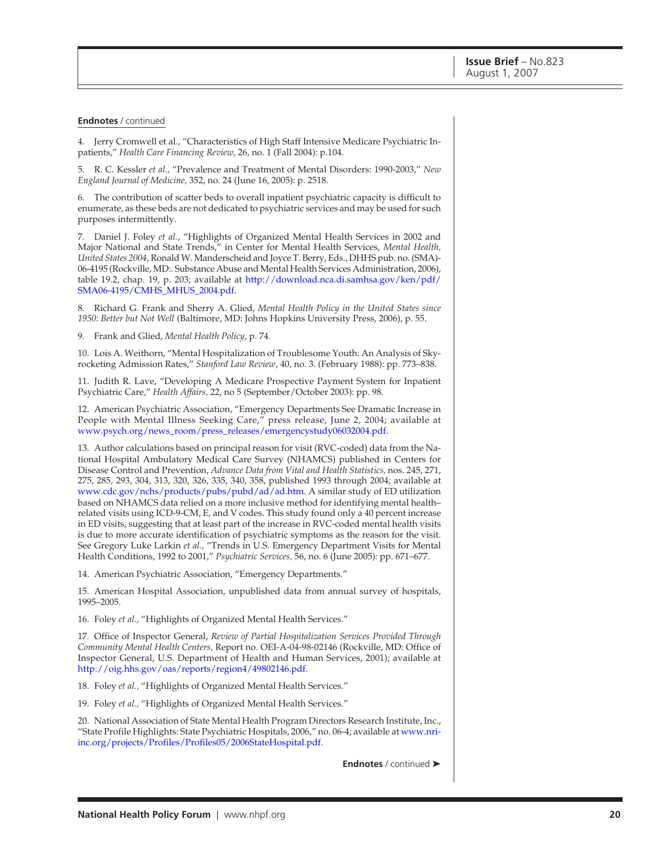#### **Endnotes** / continued

4. Jerry Cromwell et al., "Characteristics of High Staff Intensive Medicare Psychiatric Inpatients," *Health Care Financing Review,* 26, no. 1 (Fall 2004): p.104.

5. R. C. Kessler *et al.,* "Prevalence and Treatment of Mental Disorders: 1990-2003," *New England Journal of Medicine,* 352, no. 24 (June 16, 2005): p. 2518.

6. The contribution of scatter beds to overall inpatient psychiatric capacity is difficult to enumerate, as these beds are not dedicated to psychiatric services and may be used for such purposes intermittently.

7. Daniel J. Foley *et al.*, "Highlights of Organized Mental Health Services in 2002 and Major National and State Trends," in Center for Mental Health Services, *Mental Health, United States 2004*, Ronald W. Manderscheid and Joyce T. Berry, Eds., DHHS pub. no. (SMA)- 06-4195 (Rockville, MD:. Substance Abuse and Mental Health Services Administration, 2006), table 19.2, chap. 19, p. 203; available at http://download.nca.di.samhsa.gov/ken/pdf/ SMA06-4195/CMHS\_MHUS\_2004.pdf.

8. Richard G. Frank and Sherry A. Glied, *Mental Health Policy in the United States since 1950: Better but Not Well* (Baltimore, MD: Johns Hopkins University Press, 2006), p. 55.

9. Frank and Glied, *Mental Health Policy*, p. 74.

10. Lois A. Weithorn, "Mental Hospitalization of Troublesome Youth: An Analysis of Skyrocketing Admission Rates," *Stanford Law Review*, 40, no. 3. (February 1988): pp. 773–838.

11. Judith R. Lave, "Developing A Medicare Prospective Payment System for Inpatient Psychiatric Care," *Health Affairs,* 22, no 5 (September/October 2003): pp. 98.

12. American Psychiatric Association, "Emergency Departments See Dramatic Increase in People with Mental Illness Seeking Care," press release, June 2, 2004; available at www.psych.org/news\_room/press\_releases/emergencystudy06032004.pdf.

13. Author calculations based on principal reason for visit (RVC-coded) data from the National Hospital Ambulatory Medical Care Survey (NHAMCS) published in Centers for Disease Control and Prevention, *Advance Data from Vital and Health Statistics,* nos. 245, 271, 275, 285, 293, 304, 313, 320, 326, 335, 340, 358, published 1993 through 2004; available at www.cdc.gov/nchs/products/pubs/pubd/ad/ad.htm. A similar study of ED utilization based on NHAMCS data relied on a more inclusive method for identifying mental health– related visits using ICD-9-CM, E, and V codes. This study found only a 40 percent increase in ED visits, suggesting that at least part of the increase in RVC-coded mental health visits is due to more accurate identification of psychiatric symptoms as the reason for the visit. See Gregory Luke Larkin *et al.,* "Trends in U.S. Emergency Department Visits for Mental Health Conditions, 1992 to 2001," *Psychiatric Services,* 56, no. 6 (June 2005): pp. 671–677.

14. American Psychiatric Association, "Emergency Departments."

15. American Hospital Association, unpublished data from annual survey of hospitals, 1995–2005.

16. Foley *et al.,* "Highlights of Organized Mental Health Services."

17. Office of Inspector General, *Review of Partial Hospitalization Services Provided Through Community Mental Health Centers,* Report no. OEI-A-04-98-02146 (Rockville, MD: Office of Inspector General, U.S. Department of Health and Human Services, 2001); available at http://oig.hhs.gov/oas/reports/region4/49802146.pdf.

18. Foley *et al.,* "Highlights of Organized Mental Health Services."

19. Foley *et al.,* "Highlights of Organized Mental Health Services."

20. National Association of State Mental Health Program Directors Research Institute, Inc., "State Profile Highlights: State Psychiatric Hospitals, 2006," no. 06-4; available at www.nriinc.org/projects/Profiles/Profiles05/2006StateHospital.pdf.

**Endnotes** / continued ➤